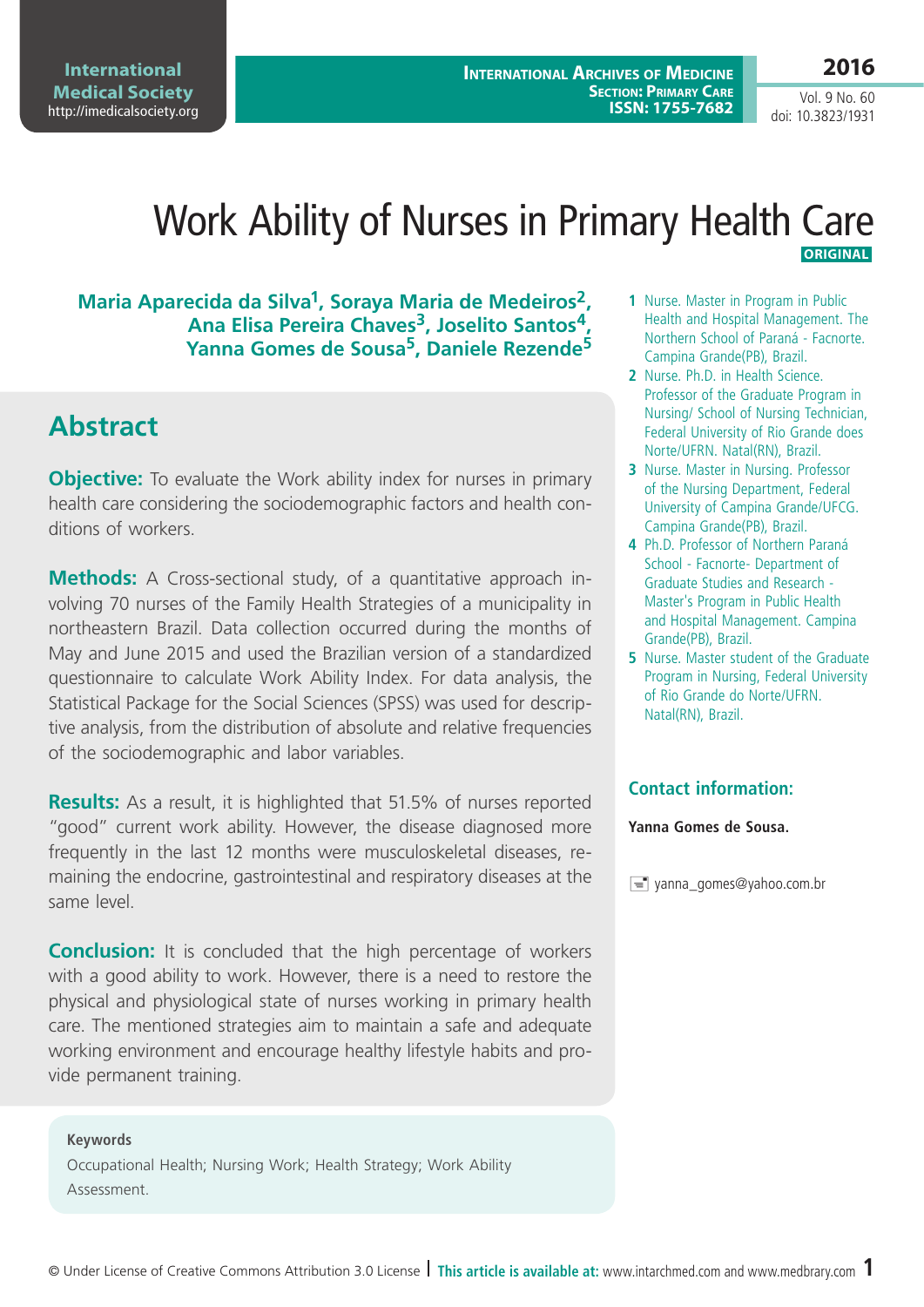**International Medical Society**  <http://imedicalsociety.org>

**International Archives of Medicine Section: Primary Care ISSN: 1755-7682**

Vol. 9 No. 60 doi: 10.3823/1931

**2016**

### Work Ability of Nurses in Primary Health Care **Original**

### **Maria Aparecida da Silva1, Soraya Maria de Medeiros2,**  Ana Elisa Pereira Chaves<sup>3</sup>, Joselito Santos<sup>4</sup>, **Yanna Gomes de Sousa5, Daniele Rezende5**

# **Abstract**

**Objective:** To evaluate the Work ability index for nurses in primary health care considering the sociodemographic factors and health conditions of workers.

**Methods:** A Cross-sectional study, of a quantitative approach involving 70 nurses of the Family Health Strategies of a municipality in northeastern Brazil. Data collection occurred during the months of May and June 2015 and used the Brazilian version of a standardized questionnaire to calculate Work Ability Index. For data analysis, the Statistical Package for the Social Sciences (SPSS) was used for descriptive analysis, from the distribution of absolute and relative frequencies of the sociodemographic and labor variables.

**Results:** As a result, it is highlighted that 51.5% of nurses reported "good" current work ability. However, the disease diagnosed more frequently in the last 12 months were musculoskeletal diseases, remaining the endocrine, gastrointestinal and respiratory diseases at the same level.

**Conclusion:** It is concluded that the high percentage of workers with a good ability to work. However, there is a need to restore the physical and physiological state of nurses working in primary health care. The mentioned strategies aim to maintain a safe and adequate working environment and encourage healthy lifestyle habits and provide permanent training.

#### **Keywords**

Occupational Health; Nursing Work; Health Strategy; Work Ability Assessment.

- **1** Nurse. Master in Program in Public Health and Hospital Management. The Northern School of Paraná - Facnorte. Campina Grande(PB), Brazil.
- **2** Nurse. Ph.D. in Health Science. Professor of the Graduate Program in Nursing/ School of Nursing Technician, Federal University of Rio Grande does Norte/UFRN. Natal(RN), Brazil.
- **3** Nurse. Master in Nursing. Professor of the Nursing Department, Federal University of Campina Grande/UFCG. Campina Grande(PB), Brazil.
- **4** Ph.D. Professor of Northern Paraná School - Facnorte- Department of Graduate Studies and Research - Master's Program in Public Health and Hospital Management. Campina Grande(PB), Brazil.
- **5** Nurse. Master student of the Graduate Program in Nursing, Federal University of Rio Grande do Norte/UFRN. Natal(RN), Brazil.

### **Contact information:**

#### **Yanna Gomes de Sousa.**

yanna\_gomes@yahoo.com.br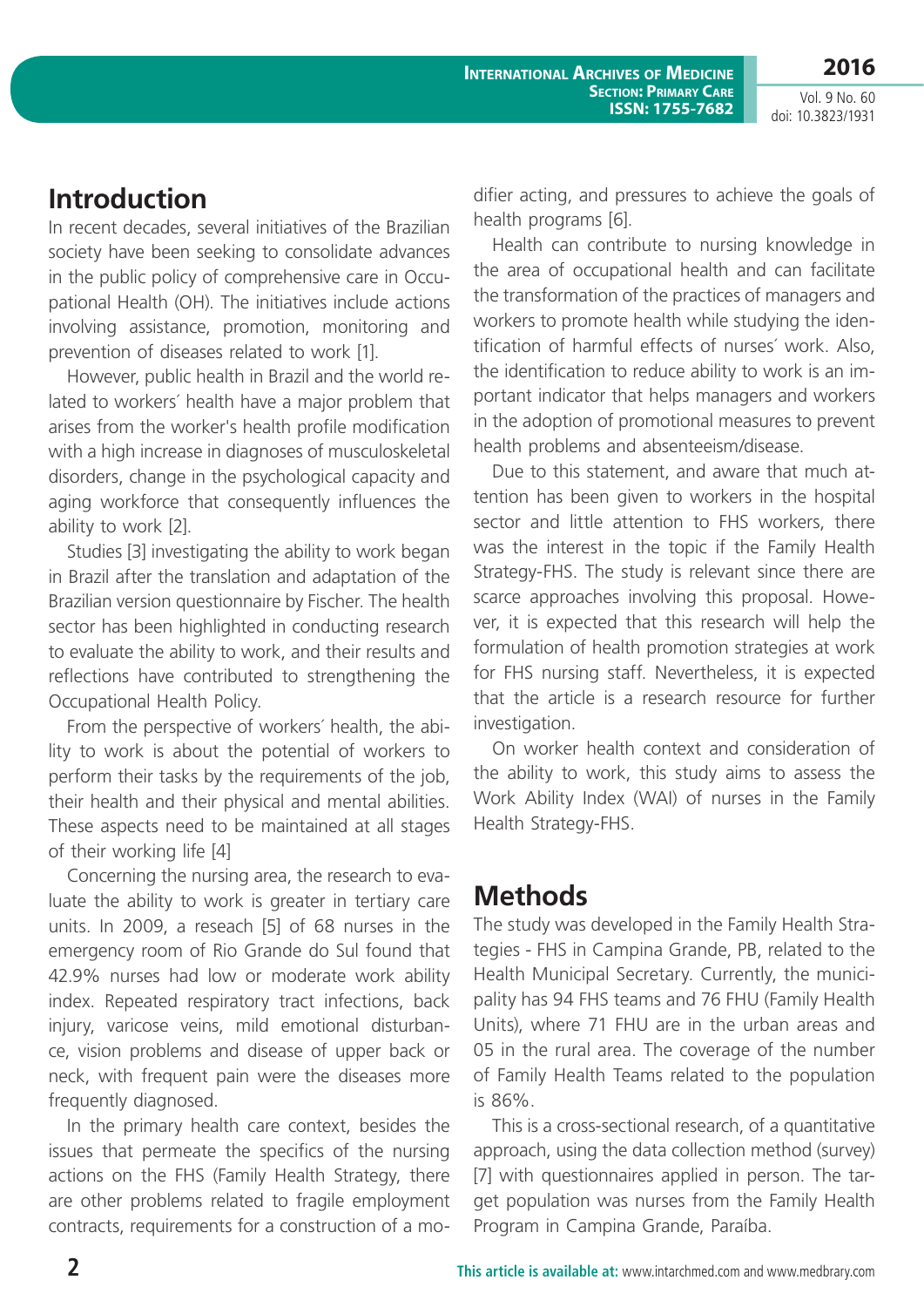**2016**

Vol. 9 No. 60 doi: 10.3823/1931

# **Introduction**

In recent decades, several initiatives of the Brazilian society have been seeking to consolidate advances in the public policy of comprehensive care in Occupational Health (OH). The initiatives include actions involving assistance, promotion, monitoring and prevention of diseases related to work [1].

However, public health in Brazil and the world related to workers´ health have a major problem that arises from the worker's health profile modification with a high increase in diagnoses of musculoskeletal disorders, change in the psychological capacity and aging workforce that consequently influences the ability to work [2].

Studies [3] investigating the ability to work began in Brazil after the translation and adaptation of the Brazilian version questionnaire by Fischer. The health sector has been highlighted in conducting research to evaluate the ability to work, and their results and reflections have contributed to strengthening the Occupational Health Policy.

From the perspective of workers´ health, the ability to work is about the potential of workers to perform their tasks by the requirements of the job, their health and their physical and mental abilities. These aspects need to be maintained at all stages of their working life [4]

Concerning the nursing area, the research to evaluate the ability to work is greater in tertiary care units. In 2009, a reseach [5] of 68 nurses in the emergency room of Rio Grande do Sul found that 42.9% nurses had low or moderate work ability index. Repeated respiratory tract infections, back injury, varicose veins, mild emotional disturbance, vision problems and disease of upper back or neck, with frequent pain were the diseases more frequently diagnosed.

In the primary health care context, besides the issues that permeate the specifics of the nursing actions on the FHS (Family Health Strategy, there are other problems related to fragile employment contracts, requirements for a construction of a modifier acting, and pressures to achieve the goals of health programs [6].

Health can contribute to nursing knowledge in the area of occupational health and can facilitate the transformation of the practices of managers and workers to promote health while studying the identification of harmful effects of nurses´ work. Also, the identification to reduce ability to work is an important indicator that helps managers and workers in the adoption of promotional measures to prevent health problems and absenteeism/disease.

Due to this statement, and aware that much attention has been given to workers in the hospital sector and little attention to FHS workers, there was the interest in the topic if the Family Health Strategy-FHS. The study is relevant since there are scarce approaches involving this proposal. However, it is expected that this research will help the formulation of health promotion strategies at work for FHS nursing staff. Nevertheless, it is expected that the article is a research resource for further investigation.

On worker health context and consideration of the ability to work, this study aims to assess the Work Ability Index (WAI) of nurses in the Family Health Strategy-FHS.

# **Methods**

The study was developed in the Family Health Strategies - FHS in Campina Grande, PB, related to the Health Municipal Secretary. Currently, the municipality has 94 FHS teams and 76 FHU (Family Health Units), where 71 FHU are in the urban areas and 05 in the rural area. The coverage of the number of Family Health Teams related to the population is 86%.

This is a cross-sectional research, of a quantitative approach, using the data collection method (survey) [7] with questionnaires applied in person. The target population was nurses from the Family Health Program in Campina Grande, Paraíba.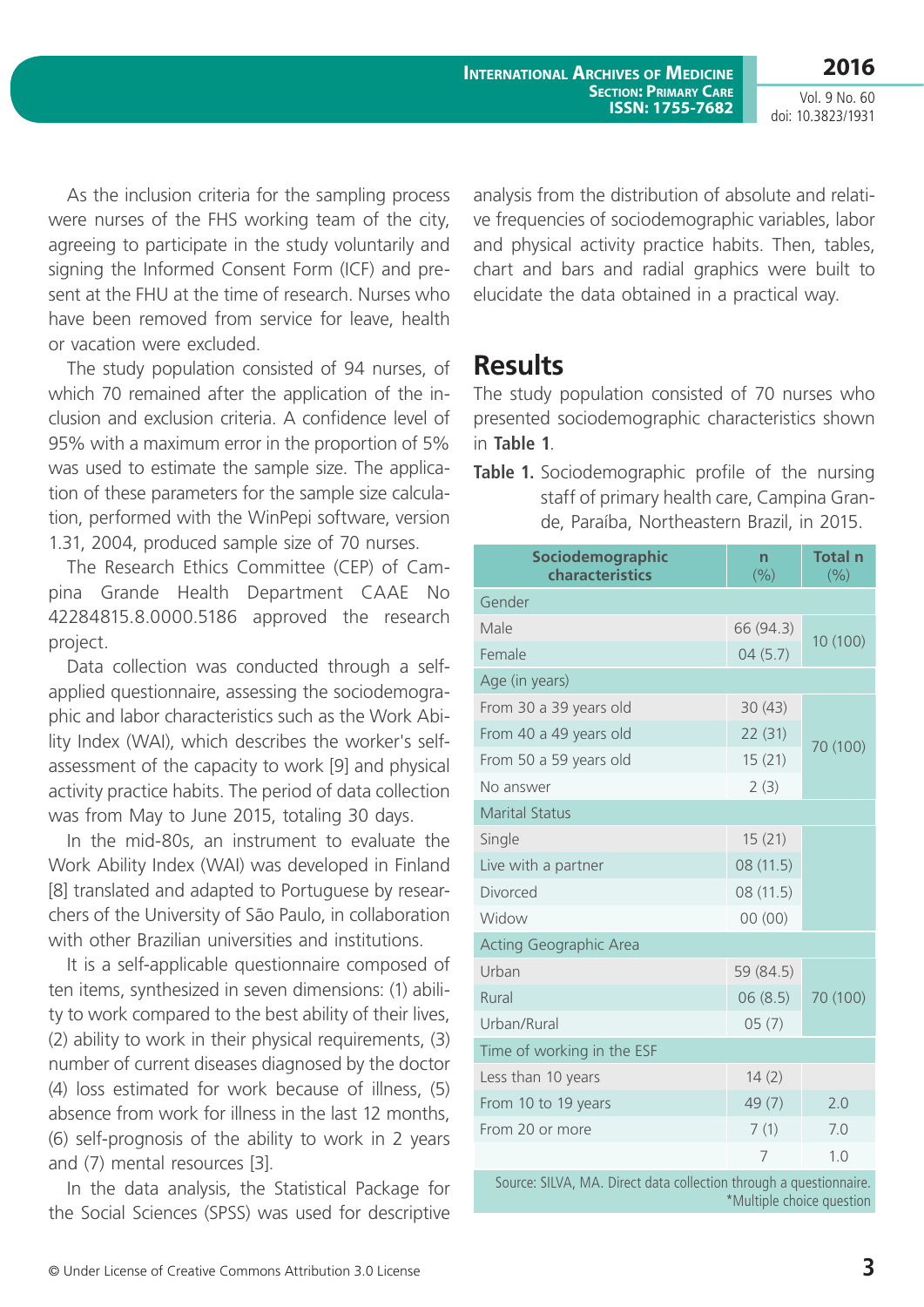**International Archives of Medicine Section: Primary Care ISSN: 1755-7682**

**2016** Vol. 9 No. 60

doi: 10.3823/1931

As the inclusion criteria for the sampling process were nurses of the FHS working team of the city, agreeing to participate in the study voluntarily and signing the Informed Consent Form (ICF) and present at the FHU at the time of research. Nurses who have been removed from service for leave, health or vacation were excluded.

The study population consisted of 94 nurses, of which 70 remained after the application of the inclusion and exclusion criteria. A confidence level of 95% with a maximum error in the proportion of 5% was used to estimate the sample size. The application of these parameters for the sample size calculation, performed with the WinPepi software, version 1.31, 2004, produced sample size of 70 nurses.

The Research Ethics Committee (CEP) of Campina Grande Health Department CAAE No 42284815.8.0000.5186 approved the research project.

Data collection was conducted through a selfapplied questionnaire, assessing the sociodemographic and labor characteristics such as the Work Ability Index (WAI), which describes the worker's selfassessment of the capacity to work [9] and physical activity practice habits. The period of data collection was from May to June 2015, totaling 30 days.

In the mid-80s, an instrument to evaluate the Work Ability Index (WAI) was developed in Finland [8] translated and adapted to Portuguese by researchers of the University of São Paulo, in collaboration with other Brazilian universities and institutions.

It is a self-applicable questionnaire composed of ten items, synthesized in seven dimensions: (1) ability to work compared to the best ability of their lives, (2) ability to work in their physical requirements, (3) number of current diseases diagnosed by the doctor (4) loss estimated for work because of illness, (5) absence from work for illness in the last 12 months, (6) self-prognosis of the ability to work in 2 years and (7) mental resources [3].

In the data analysis, the Statistical Package for the Social Sciences (SPSS) was used for descriptive

analysis from the distribution of absolute and relative frequencies of sociodemographic variables, labor and physical activity practice habits. Then, tables, chart and bars and radial graphics were built to elucidate the data obtained in a practical way.

## **Results**

The study population consisted of 70 nurses who presented sociodemographic characteristics shown in **Table 1**.

**Table 1.** Sociodemographic profile of the nursing staff of primary health care, Campina Grande, Paraíba, Northeastern Brazil, in 2015.

| Sociodemographic<br>characteristics | n<br>(9/0) | <b>Total n</b><br>(%) |
|-------------------------------------|------------|-----------------------|
| Gender                              |            |                       |
| Male                                | 66 (94.3)  | 10 (100)              |
| Female                              | 04(5.7)    |                       |
| Age (in years)                      |            |                       |
| From 30 a 39 years old              | 30(43)     | 70 (100)              |
| From 40 a 49 years old              | 22(31)     |                       |
| From 50 a 59 years old              | 15(21)     |                       |
| No answer                           | 2(3)       |                       |
| <b>Marital Status</b>               |            |                       |
| Single                              | 15(21)     |                       |
| Live with a partner                 | 08 (11.5)  |                       |
| Divorced                            | 08 (11.5)  |                       |
| Widow                               | 00(00)     |                       |
| <b>Acting Geographic Area</b>       |            |                       |
| Urban                               | 59 (84.5)  |                       |
| Rural                               | 06(8.5)    | 70 (100)              |
| Urban/Rural                         | 05(7)      |                       |
| Time of working in the ESF          |            |                       |
| Less than 10 years                  | 14(2)      |                       |
| From 10 to 19 years                 | 49(7)      | 2.0                   |
| From 20 or more                     | 7(1)       | 7.0                   |
|                                     | 7          | 1.0                   |

Source: SILVA, MA. Direct data collection through a questionnaire. \*Multiple choice question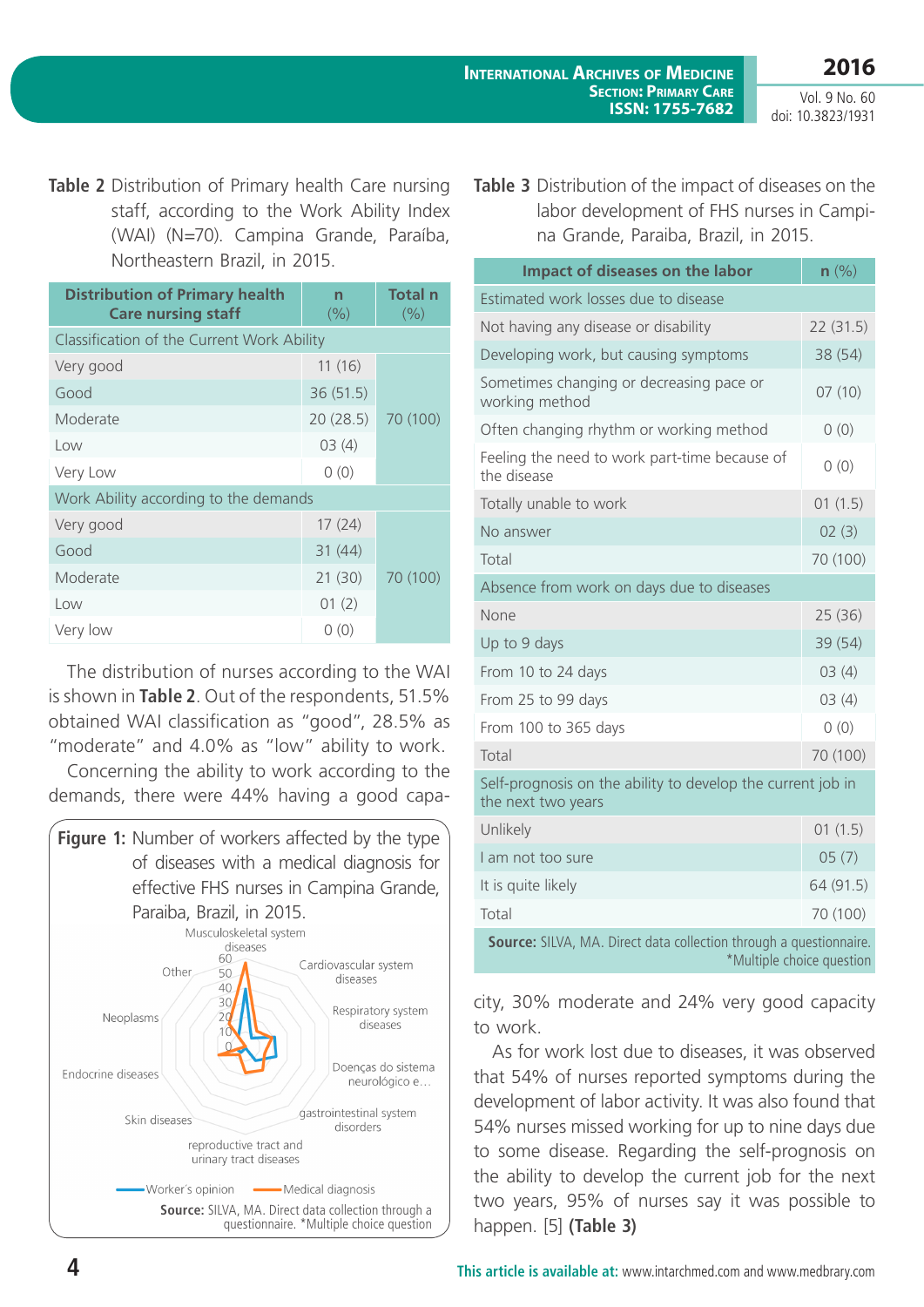**2016**

Vol. 9 No. 60 doi: 10.3823/1931

**Table 2** Distribution of Primary health Care nursing staff, according to the Work Ability Index (WAI) (N=70). Campina Grande, Paraíba, Northeastern Brazil, in 2015.

| <b>Distribution of Primary health</b><br><b>Care nursing staff</b> | n<br>(9/0) | <b>Total n</b><br>(%) |  |
|--------------------------------------------------------------------|------------|-----------------------|--|
| Classification of the Current Work Ability                         |            |                       |  |
| Very good                                                          | 11(16)     |                       |  |
| Good                                                               | 36(51.5)   |                       |  |
| Moderate                                                           | 20(28.5)   | 70 (100)              |  |
| Low                                                                | 03(4)      |                       |  |
| Very Low                                                           | 0(0)       |                       |  |
| Work Ability according to the demands                              |            |                       |  |
| Very good                                                          | 17(24)     |                       |  |
| Good                                                               | 31(44)     |                       |  |
| Moderate                                                           | 21(30)     | 70 (100)              |  |
| Low                                                                | 01(2)      |                       |  |
| Very low                                                           | 0(0)       |                       |  |

The distribution of nurses according to the WAI is shown in **Table 2**. Out of the respondents, 51.5% obtained WAI classification as "good", 28.5% as "moderate" and 4.0% as "low" ability to work.

Concerning the ability to work according to the demands, there were 44% having a good capa-



**Table 3** Distribution of the impact of diseases on the labor development of FHS nurses in Campina Grande, Paraiba, Brazil, in 2015.

| Impact of diseases on the labor                                                                 | $n$ $\left(\frac{9}{6}\right)$ |  |
|-------------------------------------------------------------------------------------------------|--------------------------------|--|
| Estimated work losses due to disease                                                            |                                |  |
| Not having any disease or disability                                                            | 22(31.5)                       |  |
| Developing work, but causing symptoms                                                           | 38 (54)                        |  |
| Sometimes changing or decreasing pace or<br>working method                                      | 07(10)                         |  |
| Often changing rhythm or working method                                                         | 0(0)                           |  |
| Feeling the need to work part-time because of<br>the disease                                    | 0(0)                           |  |
| Totally unable to work                                                                          | 01(1.5)                        |  |
| No answer                                                                                       | 02(3)                          |  |
| Total                                                                                           | 70 (100)                       |  |
| Absence from work on days due to diseases                                                       |                                |  |
| None                                                                                            | 25(36)                         |  |
| Up to 9 days                                                                                    | 39 (54)                        |  |
| From 10 to 24 days                                                                              | 03(4)                          |  |
| From 25 to 99 days                                                                              | 03(4)                          |  |
| From 100 to 365 days                                                                            | 0(0)                           |  |
| Total                                                                                           | 70 (100)                       |  |
| Self-prognosis on the ability to develop the current job in<br>the next two years               |                                |  |
| Unlikely                                                                                        | 01(1.5)                        |  |
| I am not too sure                                                                               | 05(7)                          |  |
| It is quite likely                                                                              | 64 (91.5)                      |  |
| Total                                                                                           | 70 (100)                       |  |
| Source: SILVA, MA. Direct data collection through a questionnaire.<br>*Multiple choice question |                                |  |

city, 30% moderate and 24% very good capacity to work.

As for work lost due to diseases, it was observed that 54% of nurses reported symptoms during the development of labor activity. It was also found that 54% nurses missed working for up to nine days due to some disease. Regarding the self-prognosis on the ability to develop the current job for the next two years, 95% of nurses say it was possible to happen. [5] **(Table 3)**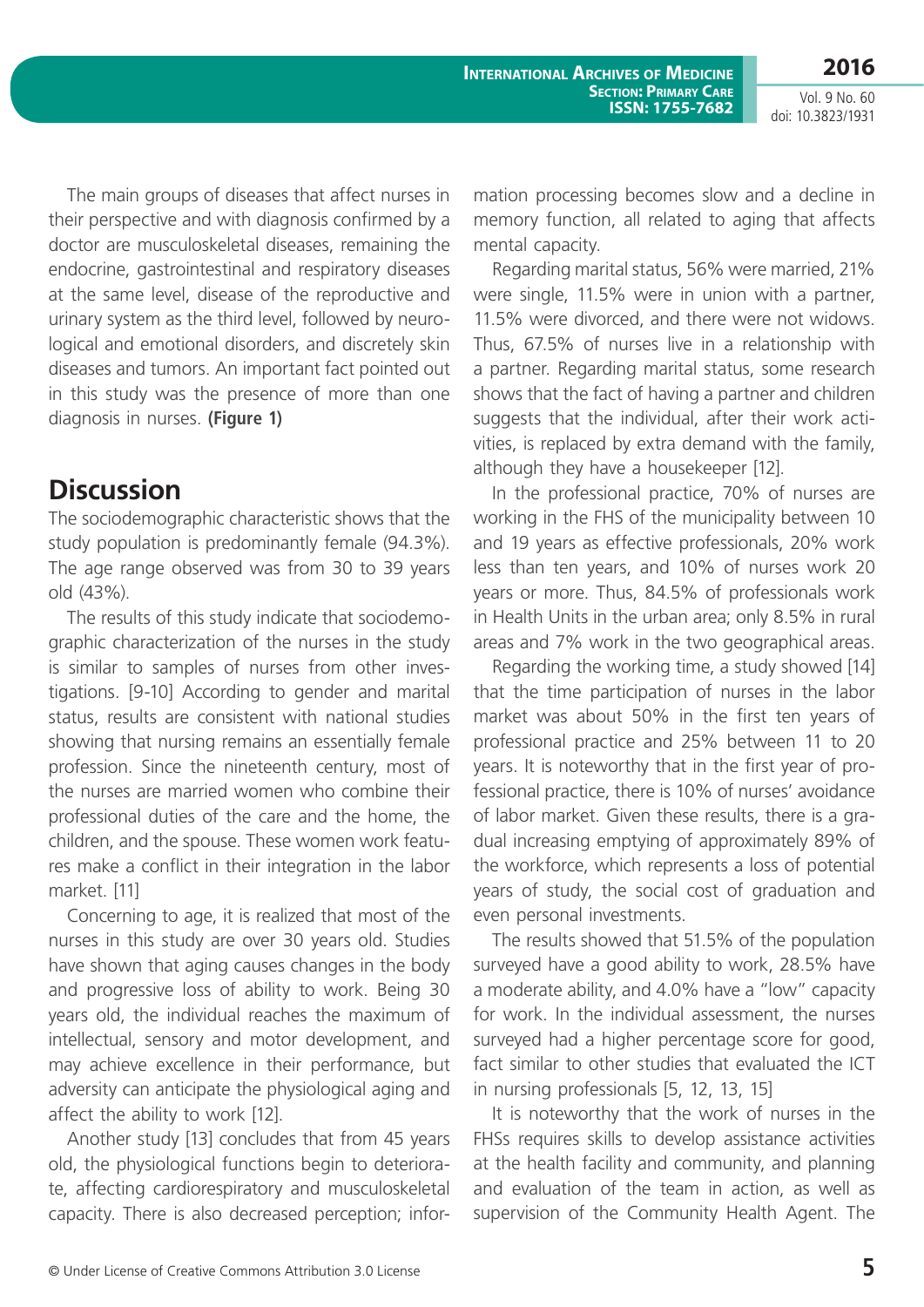Vol. 9 No. 60 doi: 10.3823/1931

The main groups of diseases that affect nurses in their perspective and with diagnosis confirmed by a doctor are musculoskeletal diseases, remaining the endocrine, gastrointestinal and respiratory diseases at the same level, disease of the reproductive and urinary system as the third level, followed by neurological and emotional disorders, and discretely skin diseases and tumors. An important fact pointed out in this study was the presence of more than one diagnosis in nurses. **(Figure 1)**

# **Discussion**

The sociodemographic characteristic shows that the study population is predominantly female (94.3%). The age range observed was from 30 to 39 years old (43%).

The results of this study indicate that sociodemographic characterization of the nurses in the study is similar to samples of nurses from other investigations. [9-10] According to gender and marital status, results are consistent with national studies showing that nursing remains an essentially female profession. Since the nineteenth century, most of the nurses are married women who combine their professional duties of the care and the home, the children, and the spouse. These women work features make a conflict in their integration in the labor market. [11]

Concerning to age, it is realized that most of the nurses in this study are over 30 years old. Studies have shown that aging causes changes in the body and progressive loss of ability to work. Being 30 years old, the individual reaches the maximum of intellectual, sensory and motor development, and may achieve excellence in their performance, but adversity can anticipate the physiological aging and affect the ability to work [12].

Another study [13] concludes that from 45 years old, the physiological functions begin to deteriorate, affecting cardiorespiratory and musculoskeletal capacity. There is also decreased perception; information processing becomes slow and a decline in memory function, all related to aging that affects mental capacity.

Regarding marital status, 56% were married, 21% were single, 11.5% were in union with a partner, 11.5% were divorced, and there were not widows. Thus, 67.5% of nurses live in a relationship with a partner. Regarding marital status, some research shows that the fact of having a partner and children suggests that the individual, after their work activities, is replaced by extra demand with the family, although they have a housekeeper [12].

In the professional practice, 70% of nurses are working in the FHS of the municipality between 10 and 19 years as effective professionals, 20% work less than ten years, and 10% of nurses work 20 years or more. Thus, 84.5% of professionals work in Health Units in the urban area; only 8.5% in rural areas and 7% work in the two geographical areas.

Regarding the working time, a study showed [14] that the time participation of nurses in the labor market was about 50% in the first ten years of professional practice and 25% between 11 to 20 years. It is noteworthy that in the first year of professional practice, there is 10% of nurses' avoidance of labor market. Given these results, there is a gradual increasing emptying of approximately 89% of the workforce, which represents a loss of potential years of study, the social cost of graduation and even personal investments.

The results showed that 51.5% of the population surveyed have a good ability to work, 28.5% have a moderate ability, and 4.0% have a "low" capacity for work. In the individual assessment, the nurses surveyed had a higher percentage score for good, fact similar to other studies that evaluated the ICT in nursing professionals [5, 12, 13, 15]

It is noteworthy that the work of nurses in the FHSs requires skills to develop assistance activities at the health facility and community, and planning and evaluation of the team in action, as well as supervision of the Community Health Agent. The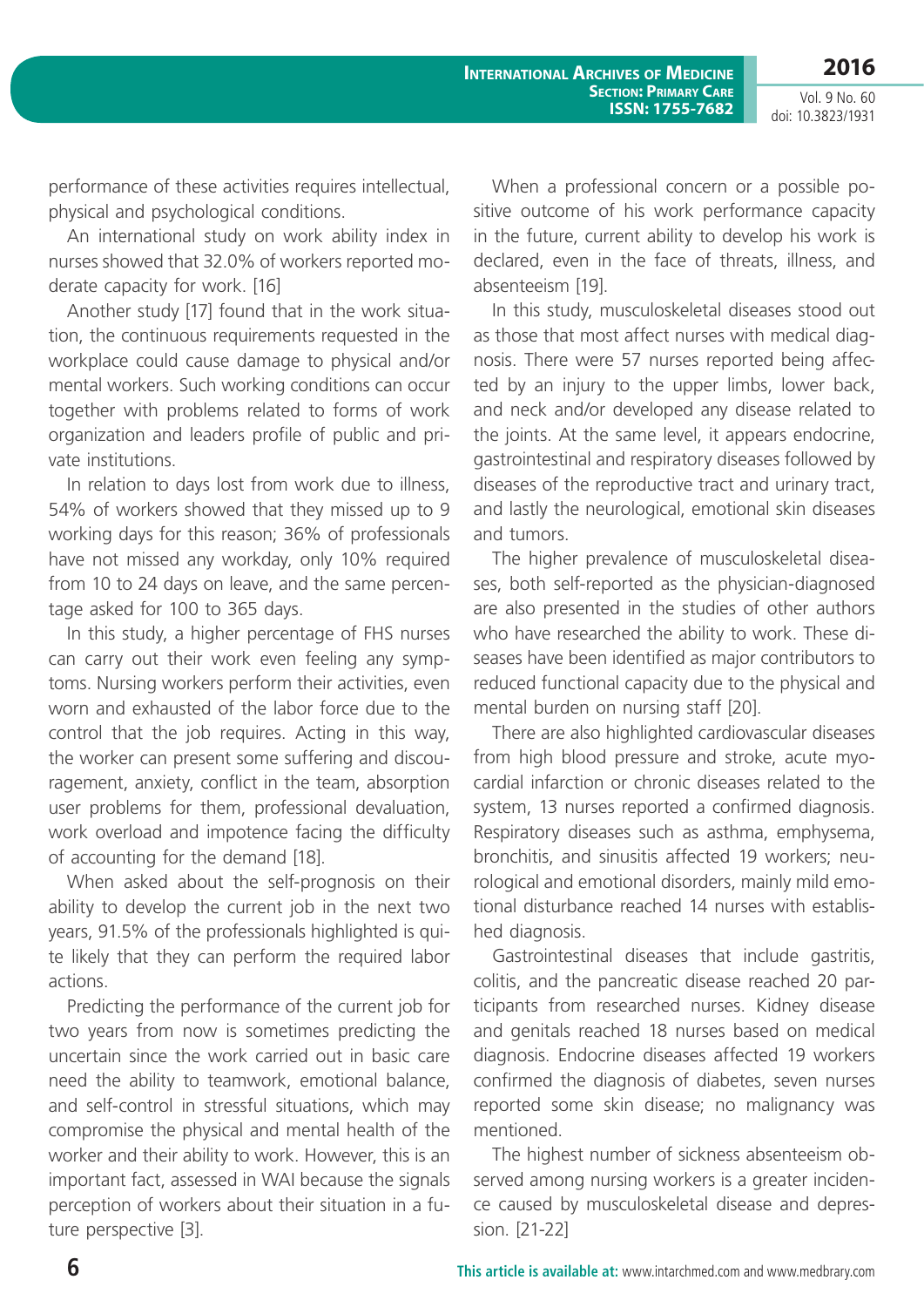**2016**

Vol. 9 No. 60 doi: 10.3823/1931

performance of these activities requires intellectual, physical and psychological conditions.

An international study on work ability index in nurses showed that 32.0% of workers reported moderate capacity for work. [16]

Another study [17] found that in the work situation, the continuous requirements requested in the workplace could cause damage to physical and/or mental workers. Such working conditions can occur together with problems related to forms of work organization and leaders profile of public and private institutions.

In relation to days lost from work due to illness, 54% of workers showed that they missed up to 9 working days for this reason; 36% of professionals have not missed any workday, only 10% required from 10 to 24 days on leave, and the same percentage asked for 100 to 365 days.

In this study, a higher percentage of FHS nurses can carry out their work even feeling any symptoms. Nursing workers perform their activities, even worn and exhausted of the labor force due to the control that the job requires. Acting in this way, the worker can present some suffering and discouragement, anxiety, conflict in the team, absorption user problems for them, professional devaluation, work overload and impotence facing the difficulty of accounting for the demand [18].

When asked about the self-prognosis on their ability to develop the current job in the next two years, 91.5% of the professionals highlighted is quite likely that they can perform the required labor actions.

Predicting the performance of the current job for two years from now is sometimes predicting the uncertain since the work carried out in basic care need the ability to teamwork, emotional balance, and self-control in stressful situations, which may compromise the physical and mental health of the worker and their ability to work. However, this is an important fact, assessed in WAI because the signals perception of workers about their situation in a future perspective [3].

When a professional concern or a possible positive outcome of his work performance capacity in the future, current ability to develop his work is declared, even in the face of threats, illness, and absenteeism [19].

In this study, musculoskeletal diseases stood out as those that most affect nurses with medical diagnosis. There were 57 nurses reported being affected by an injury to the upper limbs, lower back, and neck and/or developed any disease related to the joints. At the same level, it appears endocrine, gastrointestinal and respiratory diseases followed by diseases of the reproductive tract and urinary tract, and lastly the neurological, emotional skin diseases and tumors.

The higher prevalence of musculoskeletal diseases, both self-reported as the physician-diagnosed are also presented in the studies of other authors who have researched the ability to work. These diseases have been identified as major contributors to reduced functional capacity due to the physical and mental burden on nursing staff [20].

There are also highlighted cardiovascular diseases from high blood pressure and stroke, acute myocardial infarction or chronic diseases related to the system, 13 nurses reported a confirmed diagnosis. Respiratory diseases such as asthma, emphysema, bronchitis, and sinusitis affected 19 workers; neurological and emotional disorders, mainly mild emotional disturbance reached 14 nurses with established diagnosis.

Gastrointestinal diseases that include gastritis, colitis, and the pancreatic disease reached 20 participants from researched nurses. Kidney disease and genitals reached 18 nurses based on medical diagnosis. Endocrine diseases affected 19 workers confirmed the diagnosis of diabetes, seven nurses reported some skin disease; no malignancy was mentioned.

The highest number of sickness absenteeism observed among nursing workers is a greater incidence caused by musculoskeletal disease and depression. [21-22]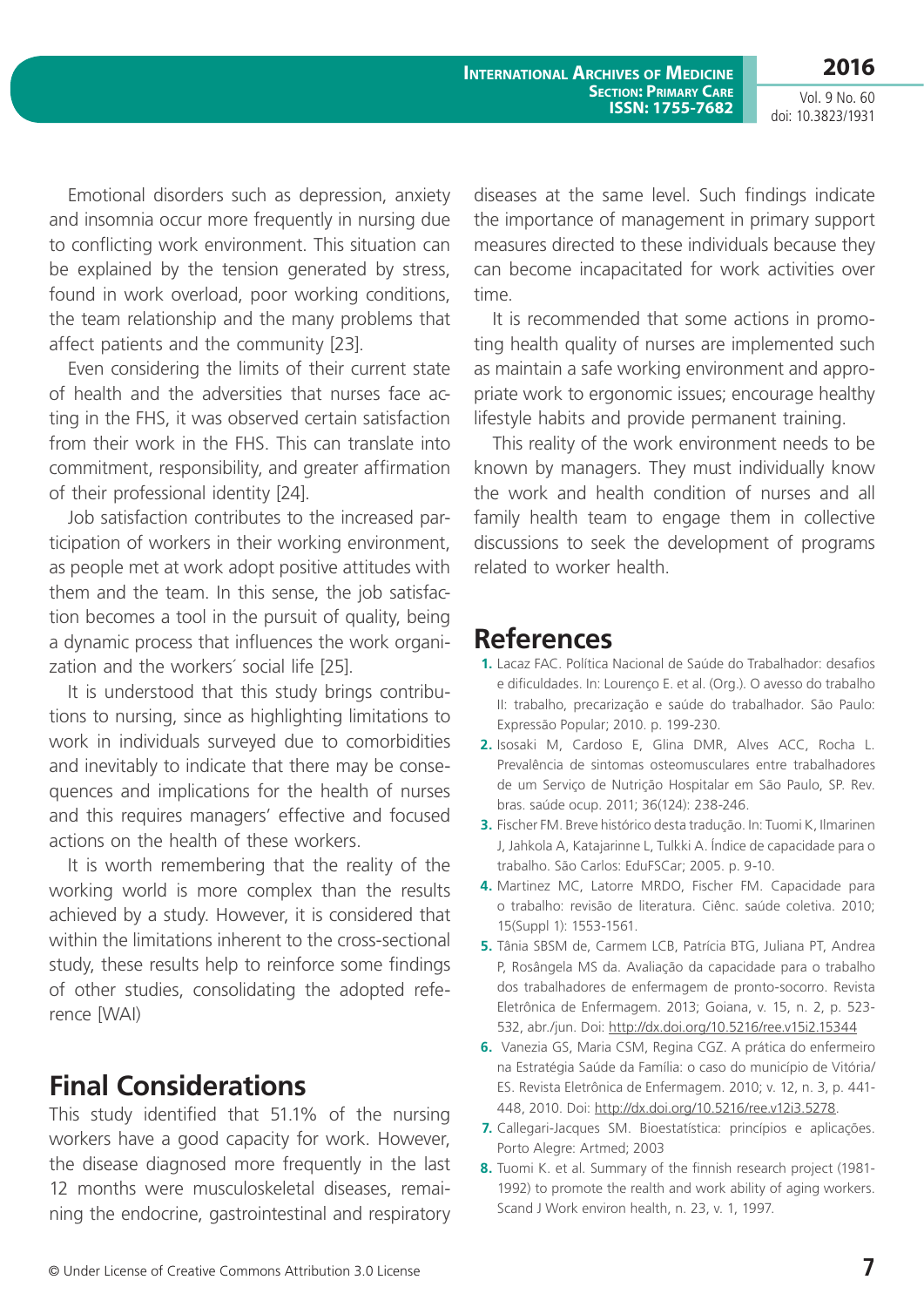**International Archives of Medicine Section: Primary Care ISSN: 1755-7682**

**2016** Vol. 9 No. 60

doi: 10.3823/1931

Emotional disorders such as depression, anxiety and insomnia occur more frequently in nursing due to conflicting work environment. This situation can be explained by the tension generated by stress, found in work overload, poor working conditions, the team relationship and the many problems that affect patients and the community [23].

Even considering the limits of their current state of health and the adversities that nurses face acting in the FHS, it was observed certain satisfaction from their work in the FHS. This can translate into commitment, responsibility, and greater affirmation of their professional identity [24].

Job satisfaction contributes to the increased participation of workers in their working environment, as people met at work adopt positive attitudes with them and the team. In this sense, the job satisfaction becomes a tool in the pursuit of quality, being a dynamic process that influences the work organization and the workers´ social life [25].

It is understood that this study brings contributions to nursing, since as highlighting limitations to work in individuals surveyed due to comorbidities and inevitably to indicate that there may be consequences and implications for the health of nurses and this requires managers' effective and focused actions on the health of these workers.

It is worth remembering that the reality of the working world is more complex than the results achieved by a study. However, it is considered that within the limitations inherent to the cross-sectional study, these results help to reinforce some findings of other studies, consolidating the adopted reference [WAI)

# **Final Considerations**

This study identified that 51.1% of the nursing workers have a good capacity for work. However, the disease diagnosed more frequently in the last 12 months were musculoskeletal diseases, remaining the endocrine, gastrointestinal and respiratory diseases at the same level. Such findings indicate the importance of management in primary support measures directed to these individuals because they can become incapacitated for work activities over time.

It is recommended that some actions in promoting health quality of nurses are implemented such as maintain a safe working environment and appropriate work to ergonomic issues; encourage healthy lifestyle habits and provide permanent training.

This reality of the work environment needs to be known by managers. They must individually know the work and health condition of nurses and all family health team to engage them in collective discussions to seek the development of programs related to worker health.

### **References**

- **1.** Lacaz FAC. Política Nacional de Saúde do Trabalhador: desafios e dificuldades. In: Lourenço E. et al. (Org.). O avesso do trabalho II: trabalho, precarização e saúde do trabalhador. São Paulo: Expressão Popular; 2010. p. 199-230.
- **2.** Isosaki M, Cardoso E, Glina DMR, Alves ACC, Rocha L. Prevalência de sintomas osteomusculares entre trabalhadores de um Serviço de Nutrição Hospitalar em São Paulo, SP. Rev. bras. saúde ocup. 2011; 36(124): 238-246.
- **3.** Fischer FM. Breve histórico desta tradução. In: Tuomi K, Ilmarinen J, Jahkola A, Katajarinne L, Tulkki A. Índice de capacidade para o trabalho. São Carlos: EduFSCar; 2005. p. 9-10.
- **4.** Martinez MC, Latorre MRDO, Fischer FM. Capacidade para o trabalho: revisão de literatura. Ciênc. saúde coletiva. 2010; 15(Suppl 1): 1553-1561.
- **5.** Tânia SBSM de, Carmem LCB, Patrícia BTG, Juliana PT, Andrea P, Rosângela MS da. Avaliação da capacidade para o trabalho dos trabalhadores de enfermagem de pronto-socorro. Revista Eletrônica de Enfermagem. 2013; Goiana, v. 15, n. 2, p. 523- 532, abr./jun. Doi:<http://dx.doi.org/10.5216/ree.v15i2.15344>
- **6.** Vanezia GS, Maria CSM, Regina CGZ. A prática do enfermeiro na Estratégia Saúde da Família: o caso do município de Vitória/ ES. Revista Eletrônica de Enfermagem. 2010; v. 12, n. 3, p. 441- 448, 2010. Doi: [http://dx.doi.org/10.5216/ree.v12i3.5278.](http://dx.doi.org/10.5216/ree.v12i3.5278)
- **7.** Callegari-Jacques SM. Bioestatística: princípios e aplicações. Porto Alegre: Artmed; 2003
- **8.** Tuomi K. et al. Summary of the finnish research project (1981- 1992) to promote the realth and work ability of aging workers. Scand J Work environ health, n. 23, v. 1, 1997.